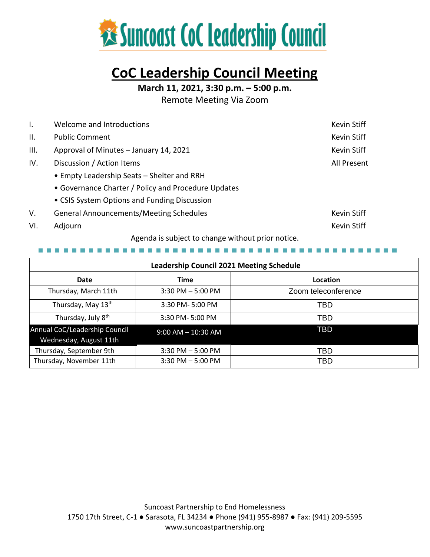

# **CoC Leadership Council Meeting**

**March 11, 2021, 3:30 p.m. – 5:00 p.m.**

Remote Meeting Via Zoom

| $\mathsf{L}$    | Welcome and Introductions                           | Kevin Stiff |
|-----------------|-----------------------------------------------------|-------------|
| $\mathbf{II}$ . | <b>Public Comment</b>                               | Kevin Stiff |
| III.            | Approval of Minutes - January 14, 2021              | Kevin Stiff |
| IV.             | Discussion / Action Items                           | All Present |
|                 | • Empty Leadership Seats – Shelter and RRH          |             |
|                 | • Governance Charter / Policy and Procedure Updates |             |
|                 | • CSIS System Options and Funding Discussion        |             |
| V.              | <b>General Announcements/Meeting Schedules</b>      | Kevin Stiff |
| VI.             | Adjourn                                             | Kevin Stiff |

Agenda is subject to change without prior notice.

. . . . . . . . . . . . . . . . . .

| <b>Leadership Council 2021 Meeting Schedule</b>         |                        |                     |  |  |  |
|---------------------------------------------------------|------------------------|---------------------|--|--|--|
| Date                                                    | <b>Time</b>            | Location            |  |  |  |
| Thursday, March 11th                                    | $3:30$ PM $-5:00$ PM   | Zoom teleconference |  |  |  |
| Thursday, May 13 <sup>th</sup>                          | 3:30 PM-5:00 PM        | TBD                 |  |  |  |
| Thursday, July 8 <sup>th</sup>                          | 3:30 PM-5:00 PM        | TBD                 |  |  |  |
| Annual CoC/Leadership Council<br>Wednesday, August 11th | $9:00$ AM $- 10:30$ AM | <b>TBD</b>          |  |  |  |
| Thursday, September 9th                                 | $3:30$ PM $-5:00$ PM   | TBD                 |  |  |  |
| Thursday, November 11th                                 | $3:30$ PM $-5:00$ PM   | <b>TBD</b>          |  |  |  |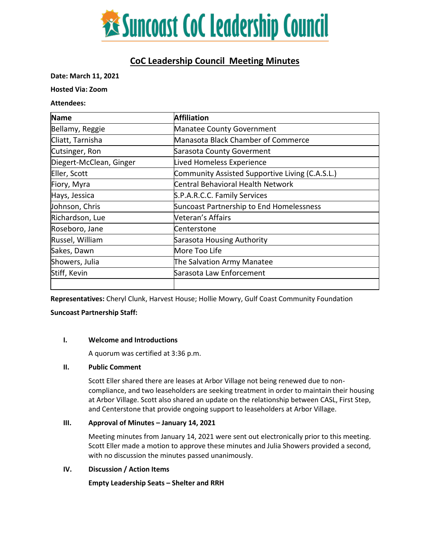

# **CoC Leadership Council Meeting Minutes**

#### **Date: March 11, 2021**

#### **Hosted Via: Zoom**

#### **Attendees:**

| Name                    | <b>Affiliation</b>                              |  |
|-------------------------|-------------------------------------------------|--|
| Bellamy, Reggie         | Manatee County Government                       |  |
| Cliatt, Tarnisha        | Manasota Black Chamber of Commerce              |  |
| Cutsinger, Ron          | Sarasota County Goverment                       |  |
| Diegert-McClean, Ginger | Lived Homeless Experience                       |  |
| Eller, Scott            | Community Assisted Supportive Living (C.A.S.L.) |  |
| Fiory, Myra             | Central Behavioral Health Network               |  |
| Hays, Jessica           | S.P.A.R.C.C. Family Services                    |  |
| Johnson, Chris          | Suncoast Partnership to End Homelessness        |  |
| Richardson, Lue         | <b>Veteran's Affairs</b>                        |  |
| Roseboro, Jane          | Centerstone                                     |  |
| Russel, William         | Sarasota Housing Authority                      |  |
| Sakes, Dawn             | More Too Life                                   |  |
| Showers, Julia          | The Salvation Army Manatee                      |  |
| Stiff, Kevin            | Sarasota Law Enforcement                        |  |

**Representatives:** Cheryl Clunk, Harvest House; Hollie Mowry, Gulf Coast Community Foundation

**Suncoast Partnership Staff:**

# **I. Welcome and Introductions**

A quorum was certified at 3:36 p.m.

# **II. Public Comment**

Scott Eller shared there are leases at Arbor Village not being renewed due to noncompliance, and two leaseholders are seeking treatment in order to maintain their housing at Arbor Village. Scott also shared an update on the relationship between CASL, First Step, and Centerstone that provide ongoing support to leaseholders at Arbor Village.

# **III.** Approval of Minutes – January 14, 2021

Meeting minutes from January 14, 2021 were sent out electronically prior to this meeting. Scott Eller made a motion to approve these minutes and Julia Showers provided a second, with no discussion the minutes passed unanimously.

# **IV. Discussion / Action Items**

**Empty Leadership Seats – Shelter and RRH**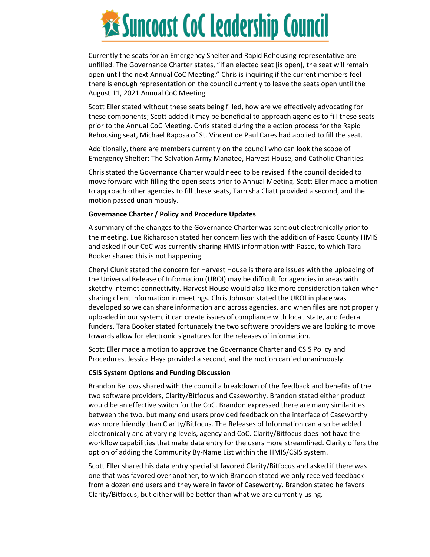

Currently the seats for an Emergency Shelter and Rapid Rehousing representative are unfilled. The Governance Charter states, "If an elected seat [is open], the seat will remain open until the next Annual CoC Meeting." Chris is inquiring if the current members feel there is enough representation on the council currently to leave the seats open until the August 11, 2021 Annual CoC Meeting.

Scott Eller stated without these seats being filled, how are we effectively advocating for these components; Scott added it may be beneficial to approach agencies to fill these seats prior to the Annual CoC Meeting. Chris stated during the election process for the Rapid Rehousing seat, Michael Raposa of St. Vincent de Paul Cares had applied to fill the seat.

Additionally, there are members currently on the council who can look the scope of Emergency Shelter: The Salvation Army Manatee, Harvest House, and Catholic Charities.

Chris stated the Governance Charter would need to be revised if the council decided to move forward with filling the open seats prior to Annual Meeting. Scott Eller made a motion to approach other agencies to fill these seats, Tarnisha Cliatt provided a second, and the motion passed unanimously.

#### **Governance Charter / Policy and Procedure Updates**

A summary of the changes to the Governance Charter was sent out electronically prior to the meeting. Lue Richardson stated her concern lies with the addition of Pasco County HMIS and asked if our CoC was currently sharing HMIS information with Pasco, to which Tara Booker shared this is not happening.

Cheryl Clunk stated the concern for Harvest House is there are issues with the uploading of the Universal Release of Information (UROI) may be difficult for agencies in areas with sketchy internet connectivity. Harvest House would also like more consideration taken when sharing client information in meetings. Chris Johnson stated the UROI in place was developed so we can share information and across agencies, and when files are not properly uploaded in our system, it can create issues of compliance with local, state, and federal funders. Tara Booker stated fortunately the two software providers we are looking to move towards allow for electronic signatures for the releases of information.

Scott Eller made a motion to approve the Governance Charter and CSIS Policy and Procedures, Jessica Hays provided a second, and the motion carried unanimously.

#### **CSIS System Options and Funding Discussion**

Brandon Bellows shared with the council a breakdown of the feedback and benefits of the two software providers, Clarity/Bitfocus and Caseworthy. Brandon stated either product would be an effective switch for the CoC. Brandon expressed there are many similarities between the two, but many end users provided feedback on the interface of Caseworthy was more friendly than Clarity/Bitfocus. The Releases of Information can also be added electronically and at varying levels, agency and CoC. Clarity/Bitfocus does not have the workflow capabilities that make data entry for the users more streamlined. Clarity offers the option of adding the Community By-Name List within the HMIS/CSIS system.

Scott Eller shared his data entry specialist favored Clarity/Bitfocus and asked if there was one that was favored over another, to which Brandon stated we only received feedback from a dozen end users and they were in favor of Caseworthy. Brandon stated he favors Clarity/Bitfocus, but either will be better than what we are currently using.